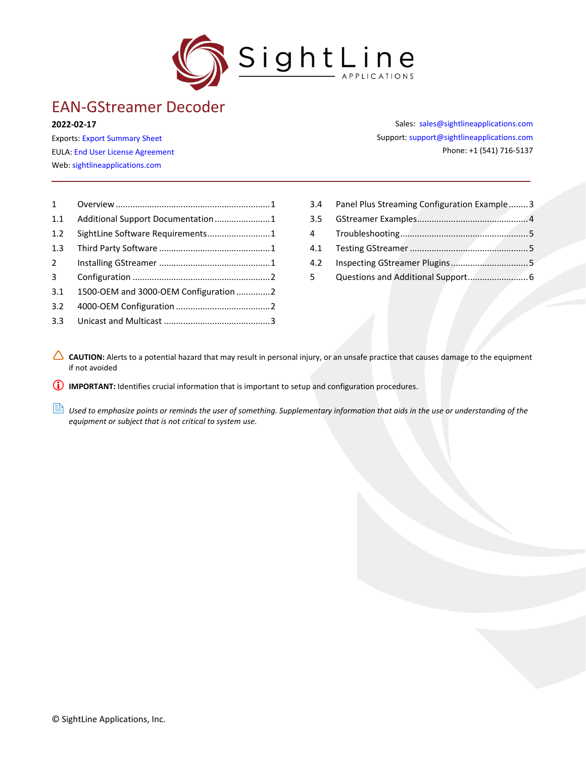

# EAN-GStreamer Decoder

#### **2022-02-17**

Exports: [Export Summary Sheet](https://sightlineapplications.com/wp-content/uploads/Exports-Summary.pdf) EULA[: End User License Agreement](https://sightlineapplications.com/wp-content/uploads/SightLine-Product-License.pdf) Web[: sightlineapplications.com](http://sightlineapplications.com/support/software/)

Sales: [sales@sightlineapplications.com](mailto:sales@sightlineapplications.com) Support[: support@sightlineapplications.com](mailto:support@sightlineapplications.com) Phone: +1 (541) 716-5137

| $1 \quad$     |                                      |
|---------------|--------------------------------------|
| 1.1           | Additional Support Documentation1    |
| 1.2           |                                      |
| 1.3           |                                      |
| $\mathcal{P}$ |                                      |
| 3             |                                      |
| 3.1           | 1500-OEM and 3000-OEM Configuration2 |
| 3.2           |                                      |
| 3.3           |                                      |

| 3.4         | Panel Plus Streaming Configuration Example3 |  |
|-------------|---------------------------------------------|--|
| 3.5         |                                             |  |
|             |                                             |  |
|             |                                             |  |
| 4.2         |                                             |  |
| $5^{\circ}$ |                                             |  |

CAUTION: Alerts to a potential hazard that may result in personal injury, or an unsafe practice that causes damage to the equipment if not avoided

**IMPORTANT:** Identifies crucial information that is important to setup and configuration procedures.

**B** Used to emphasize points or reminds the user of something. Supplementary information that aids in the use or understanding of the *equipment or subject that is not critical to system use.*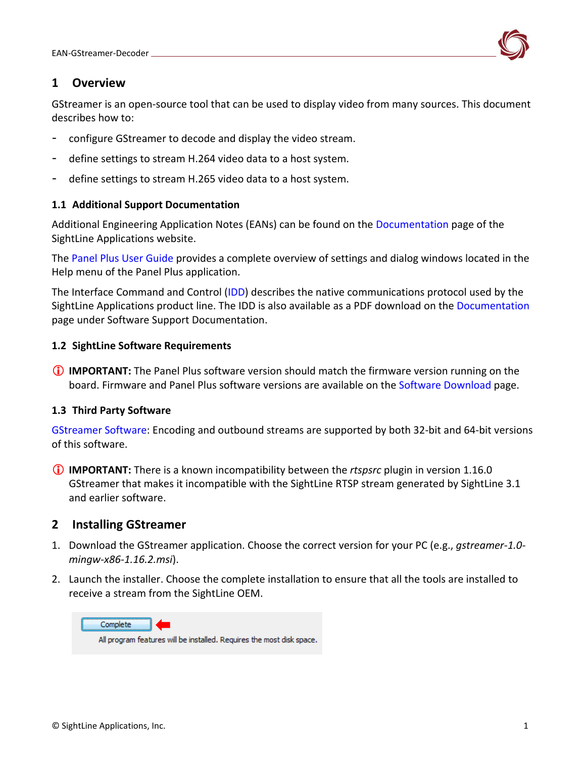## <span id="page-1-0"></span>**1 Overview**

GStreamer is an open-source tool that can be used to display video from many sources. This document describes how to:

- configure GStreamer to decode and display the video stream.
- define settings to stream H.264 video data to a host system.
- define settings to stream H.265 video data to a host system.

#### <span id="page-1-1"></span>**1.1 Additional Support Documentation**

Additional Engineering Application Notes (EANs) can be found on the [Documentation](https://sightlineapplications.com/documentation/) page of the SightLine Applications website.

The [Panel Plus User Guide](https://sightlineapplications.com/downloads/) provides a complete overview of settings and dialog windows located in the Help menu of the Panel Plus application.

The Interface Command and Control [\(IDD\)](https://sightlineapplications.com/releases/IDD/current/) describes the native communications protocol used by the SightLine Applications product line. The IDD is also available as a PDF download on the [Documentation](https://sightlineapplications.com/documentation/) page under Software Support Documentation.

#### <span id="page-1-2"></span>**1.2 SightLine Software Requirements**

 **IMPORTANT:** The Panel Plus software version should match the firmware version running on the board. Firmware and Panel Plus software versions are available on the [Software Download](https://sightlineapplications.com/downloads/) page.

#### <span id="page-1-3"></span>**1.3 Third Party Software**

[GStreamer Software:](https://gstreamer.freedesktop.org/) Encoding and outbound streams are supported by both 32-bit and 64-bit versions of this software.

 **IMPORTANT:** There is a known incompatibility between the *rtspsrc* plugin in version 1.16.0 GStreamer that makes it incompatible with the SightLine RTSP stream generated by SightLine 3.1 and earlier software.

## <span id="page-1-4"></span>**2 Installing GStreamer**

- 1. Download the GStreamer application. Choose the correct version for your PC (e.g., *gstreamer-1.0 mingw-x86-1.16.2.msi*).
- 2. Launch the installer. Choose the complete installation to ensure that all the tools are installed to receive a stream from the SightLine OEM.

Complete All program features will be installed. Requires the most disk space.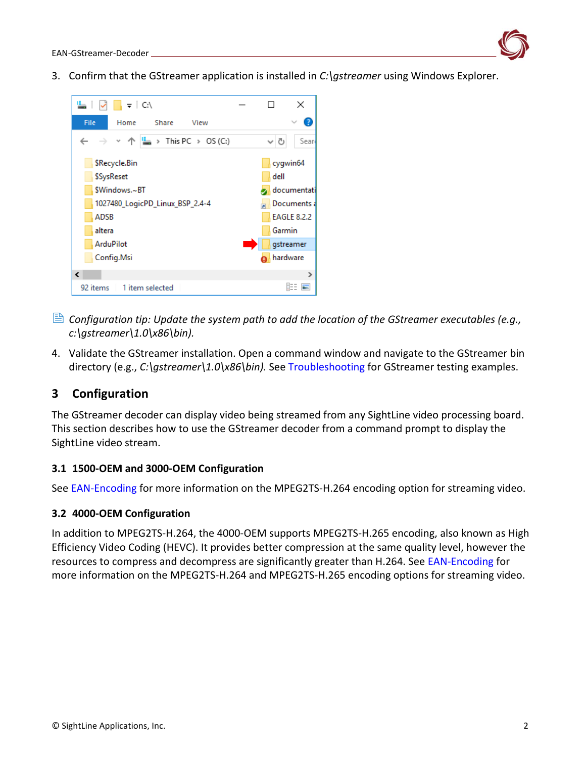

3. Confirm that the GStreamer application is installed in *C:\gstreamer* using Windows Explorer.



- *Configuration tip: Update the system path to add the location of the GStreamer executables (e.g., c:\gstreamer\1.0\x86\bin).*
- 4. Validate the GStreamer installation. Open a command window and navigate to the GStreamer bin directory (e.g., *C:\gstreamer\1.0\x86\bin).* See [Troubleshooting](#page-5-1) for GStreamer testing examples.

## <span id="page-2-0"></span>**3 Configuration**

The GStreamer decoder can display video being streamed from any SightLine video processing board. This section describes how to use the GStreamer decoder from a command prompt to display the SightLine video stream.

### <span id="page-2-1"></span>**3.1 1500-OEM and 3000-OEM Configuration**

See [EAN-Encoding](http://sightlineapplications.com/wp-content/uploads/EAN-Encoding.pdf) for more information on the MPEG2TS-H.264 encoding option for streaming video.

### <span id="page-2-2"></span>**3.2 4000-OEM Configuration**

In addition to MPEG2TS-H.264, the 4000-OEM supports MPEG2TS-H.265 encoding, also known as High Efficiency Video Coding (HEVC). It provides better compression at the same quality level, however the resources to compress and decompress are significantly greater than H.264. See [EAN-Encoding](http://sightlineapplications.com/wp-content/uploads/EAN-Encoding.pdf) for more information on the MPEG2TS-H.264 and MPEG2TS-H.265 encoding options for streaming video.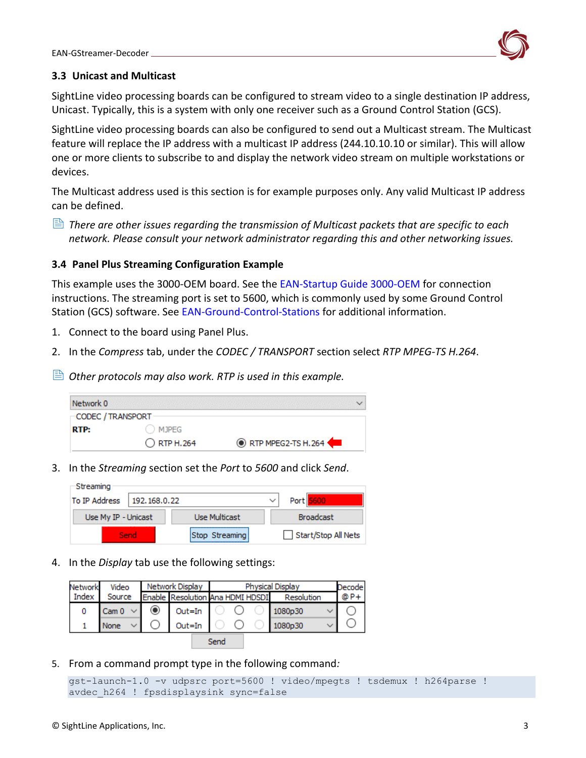

#### <span id="page-3-0"></span>**3.3 Unicast and Multicast**

SightLine video processing boards can be configured to stream video to a single destination IP address, Unicast. Typically, this is a system with only one receiver such as a Ground Control Station (GCS).

SightLine video processing boards can also be configured to send out a Multicast stream. The Multicast feature will replace the IP address with a multicast IP address (244.10.10.10 or similar). This will allow one or more clients to subscribe to and display the network video stream on multiple workstations or devices.

The Multicast address used is this section is for example purposes only. Any valid Multicast IP address can be defined.

 *There are other issues regarding the transmission of Multicast packets that are specific to each network. Please consult your network administrator regarding this and other networking issues.* 

### <span id="page-3-1"></span>**3.4 Panel Plus Streaming Configuration Example**

This example uses the 3000-OEM board. See the [EAN-Startup Guide 3000-OEM](http://sightlineapplications.com/wp-content/uploads/EAN-Startup-Guide-3000-OEM.pdf) for connection instructions. The streaming port is set to 5600, which is commonly used by some Ground Control Station (GCS) software. See [EAN-Ground-Control-Stations](https://sightlineapplications.com/wp-content/uploads/EAN-Ground-Control-Stations.pdf) for additional information.

- 1. Connect to the board using Panel Plus.
- 2. In the *Compress* tab, under the *CODEC / TRANSPORT* section select *RTP MPEG-TS H.264*.
- *Other protocols may also work. RTP is used in this example.*

| Network 0         |                      |                            |
|-------------------|----------------------|----------------------------|
| CODEC / TRANSPORT |                      |                            |
| <b>RTP:</b>       | <b>MJPEG</b>         |                            |
|                   | $\bigcirc$ RTP H.264 | <b>ORTP MPEG2-TS H.264</b> |

3. In the *Streaming* section set the *Port* to *5600* and click *Send*.

| Streaming                     |      |                      |  |                     |  |
|-------------------------------|------|----------------------|--|---------------------|--|
| To IP Address<br>192.168.0.22 |      |                      |  | Port 5600           |  |
| Use My IP - Unicast           |      | <b>Use Multicast</b> |  | <b>Broadcast</b>    |  |
|                               | Send | Stop Streaming       |  | Start/Stop All Nets |  |

4. In the *Display* tab use the following settings:

| <b>Network</b> | Video  | Network Display |        |                                  | <b>Physical Display</b> | Decodel |
|----------------|--------|-----------------|--------|----------------------------------|-------------------------|---------|
| Index          | Source |                 |        | Enable Resolution Ana HDMI HDSDI | Resolution              | @ P+    |
| 0              | Cam 0  |                 | Out=In |                                  | 1080p30                 |         |
|                | None   |                 | Out=In |                                  | 1080p30                 |         |
| Send           |        |                 |        |                                  |                         |         |

5. From a command prompt type in the following command*:*

```
gst-launch-1.0 -v udpsrc port=5600 ! video/mpegts ! tsdemux ! h264parse ! 
avdec h264 ! fpsdisplaysink sync=false
```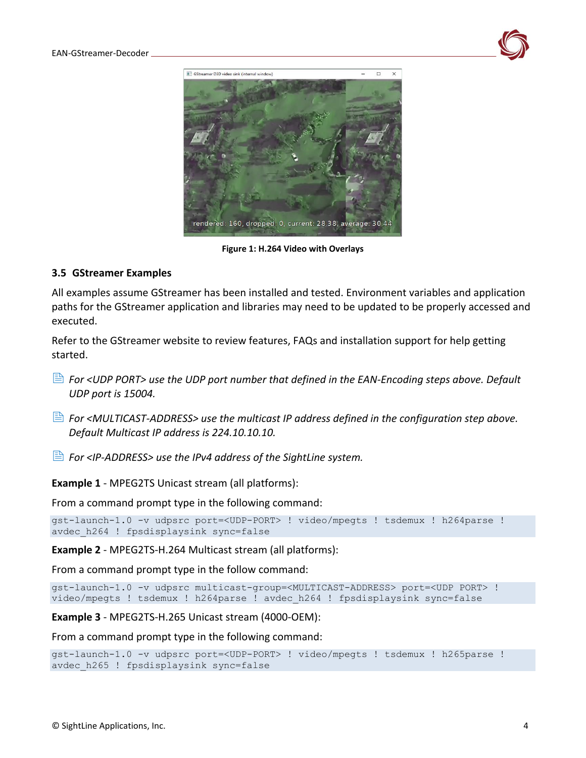



**Figure 1: H.264 Video with Overlays**

### <span id="page-4-0"></span>**3.5 GStreamer Examples**

All examples assume GStreamer has been installed and tested. Environment variables and application paths for the GStreamer application and libraries may need to be updated to be properly accessed and executed.

Refer to the GStreamer website to review features, FAQs and installation support for help getting started.

- *For <UDP PORT> use the UDP port number that defined in the EAN-Encoding steps [above.](#page-2-0) Default UDP port is 15004.*
- *For <MULTICAST-ADDRESS> use the multicast IP address defined in the configuration step above. Default Multicast IP address is 224.10.10.10.*
- *For <IP-ADDRESS> use the IPv4 address of the SightLine system.*

**Example 1** - MPEG2TS Unicast stream (all platforms):

From a command prompt type in the following command:

gst-launch-1.0 -v udpsrc port=<UDP-PORT> ! video/mpegts ! tsdemux ! h264parse ! avdec\_h264 ! fpsdisplaysink sync=false

**Example 2** - MPEG2TS-H.264 Multicast stream (all platforms):

From a command prompt type in the follow command:

```
gst-launch-1.0 -v udpsrc multicast-group=<MULTICAST-ADDRESS> port=<UDP PORT> ! 
video/mpegts ! tsdemux ! h264parse ! avdec_h264 ! fpsdisplaysink sync=false
```
**Example 3** - MPEG2TS-H.265 Unicast stream (4000-OEM):

From a command prompt type in the following command:

```
gst-launch-1.0 -v udpsrc port=<UDP-PORT> ! video/mpegts ! tsdemux ! h265parse ! 
avdec h265 ! fpsdisplaysink sync=false
```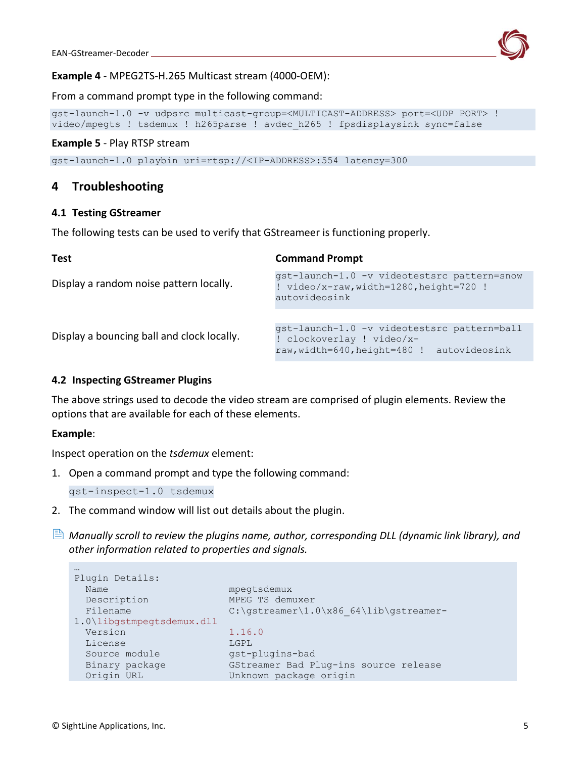

#### **Example 4** - MPEG2TS-H.265 Multicast stream (4000-OEM):

From a command prompt type in the following command:

```
gst-launch-1.0 -v udpsrc multicast-group=<MULTICAST-ADDRESS> port=<UDP PORT> ! 
video/mpegts ! tsdemux ! h265parse ! avdec_h265 ! fpsdisplaysink sync=false
```
#### <span id="page-5-0"></span>**Example 5** - Play RTSP stream

gst-launch-1.0 playbin uri=rtsp://<IP-ADDRESS>:554 latency=300

## **4 Troubleshooting**

#### <span id="page-5-1"></span>**4.1 Testing GStreamer**

The following tests can be used to verify that GStreameer is functioning properly.

| <b>Test</b>                                | <b>Command Prompt</b>                                                                                                     |  |  |
|--------------------------------------------|---------------------------------------------------------------------------------------------------------------------------|--|--|
| Display a random noise pattern locally.    | gst-launch-1.0 -v videotestsrc pattern=snow<br>! video/x-raw, width=1280, height=720 !<br>autovideosink                   |  |  |
|                                            |                                                                                                                           |  |  |
| Display a bouncing ball and clock locally. | qst-launch-1.0 -v videotestsrc pattern=ball<br>! clockoverlay ! video/x-<br>raw, width=640, height=480 !<br>autovideosink |  |  |
|                                            |                                                                                                                           |  |  |

#### <span id="page-5-2"></span>**4.2 Inspecting GStreamer Plugins**

The [above](#page-2-0) strings used to decode the video stream are comprised of plugin elements. Review the options that are available for each of these elements.

#### **Example**:

…

Inspect operation on the *tsdemux* element:

1. Open a command prompt and type the following command:

gst-inspect-1.0 tsdemux

- 2. The command window will list out details about the plugin.
- *Manually scroll to review the plugins name, author, corresponding DLL (dynamic link library), and other information related to properties and signals.*

```
Plugin Details:
Name mpegtsdemux
 Description MPEG TS demuxer
Filename C:\gstreamer\1.0\x86_64\lib\gstreamer-
1.0\libgstmpegtsdemux.dll
 Version 1.16.0
  License LGPL
 Source module gst-plugins-bad
  Binary package GStreamer Bad Plug-ins source release
 Origin URL Unknown package origin
```